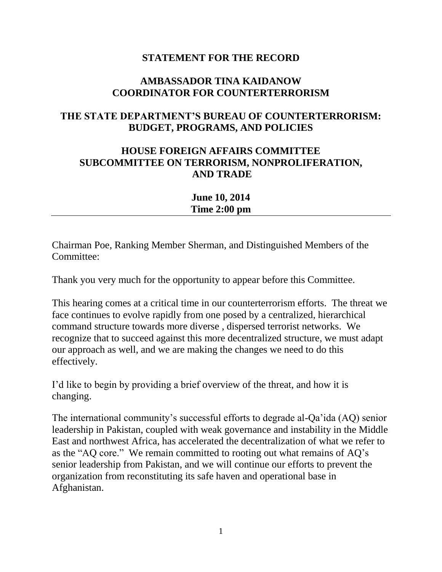### **STATEMENT FOR THE RECORD**

# **AMBASSADOR TINA KAIDANOW COORDINATOR FOR COUNTERTERRORISM**

### **THE STATE DEPARTMENT'S BUREAU OF COUNTERTERRORISM: BUDGET, PROGRAMS, AND POLICIES**

# **HOUSE FOREIGN AFFAIRS COMMITTEE SUBCOMMITTEE ON TERRORISM, NONPROLIFERATION, AND TRADE**

| <b>June 10, 2014</b>   |
|------------------------|
| Time $2:00 \text{ pm}$ |

Chairman Poe, Ranking Member Sherman, and Distinguished Members of the Committee:

Thank you very much for the opportunity to appear before this Committee.

This hearing comes at a critical time in our counterterrorism efforts. The threat we face continues to evolve rapidly from one posed by a centralized, hierarchical command structure towards more diverse , dispersed terrorist networks. We recognize that to succeed against this more decentralized structure, we must adapt our approach as well, and we are making the changes we need to do this effectively.

I'd like to begin by providing a brief overview of the threat, and how it is changing.

The international community's successful efforts to degrade al-Qa'ida (AQ) senior leadership in Pakistan, coupled with weak governance and instability in the Middle East and northwest Africa, has accelerated the decentralization of what we refer to as the "AQ core." We remain committed to rooting out what remains of AQ's senior leadership from Pakistan, and we will continue our efforts to prevent the organization from reconstituting its safe haven and operational base in Afghanistan.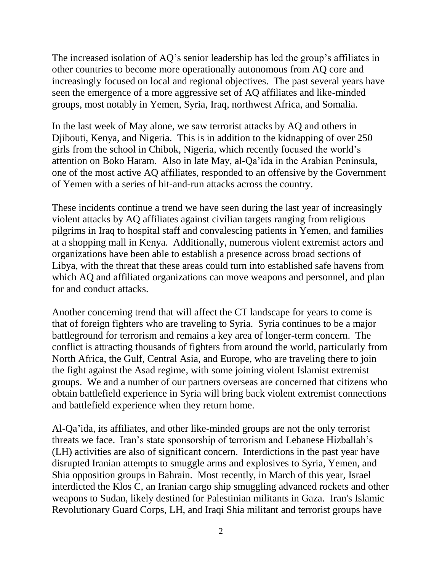The increased isolation of AQ's senior leadership has led the group's affiliates in other countries to become more operationally autonomous from AQ core and increasingly focused on local and regional objectives. The past several years have seen the emergence of a more aggressive set of AQ affiliates and like-minded groups, most notably in Yemen, Syria, Iraq, northwest Africa, and Somalia.

In the last week of May alone, we saw terrorist attacks by AQ and others in Djibouti, Kenya, and Nigeria. This is in addition to the kidnapping of over 250 girls from the school in Chibok, Nigeria, which recently focused the world's attention on Boko Haram. Also in late May, al-Qa'ida in the Arabian Peninsula, one of the most active AQ affiliates, responded to an offensive by the Government of Yemen with a series of hit-and-run attacks across the country.

These incidents continue a trend we have seen during the last year of increasingly violent attacks by AQ affiliates against civilian targets ranging from religious pilgrims in Iraq to hospital staff and convalescing patients in Yemen, and families at a shopping mall in Kenya. Additionally, numerous violent extremist actors and organizations have been able to establish a presence across broad sections of Libya, with the threat that these areas could turn into established safe havens from which AQ and affiliated organizations can move weapons and personnel, and plan for and conduct attacks.

Another concerning trend that will affect the CT landscape for years to come is that of foreign fighters who are traveling to Syria. Syria continues to be a major battleground for terrorism and remains a key area of longer-term concern. The conflict is attracting thousands of fighters from around the world, particularly from North Africa, the Gulf, Central Asia, and Europe, who are traveling there to join the fight against the Asad regime, with some joining violent Islamist extremist groups. We and a number of our partners overseas are concerned that citizens who obtain battlefield experience in Syria will bring back violent extremist connections and battlefield experience when they return home.

Al-Qa'ida, its affiliates, and other like-minded groups are not the only terrorist threats we face. Iran's state sponsorship of terrorism and Lebanese Hizballah's (LH) activities are also of significant concern. Interdictions in the past year have disrupted Iranian attempts to smuggle arms and explosives to Syria, Yemen, and Shia opposition groups in Bahrain. Most recently, in March of this year, Israel interdicted the Klos C, an Iranian cargo ship smuggling advanced rockets and other weapons to Sudan, likely destined for Palestinian militants in Gaza. Iran's Islamic Revolutionary Guard Corps, LH, and Iraqi Shia militant and terrorist groups have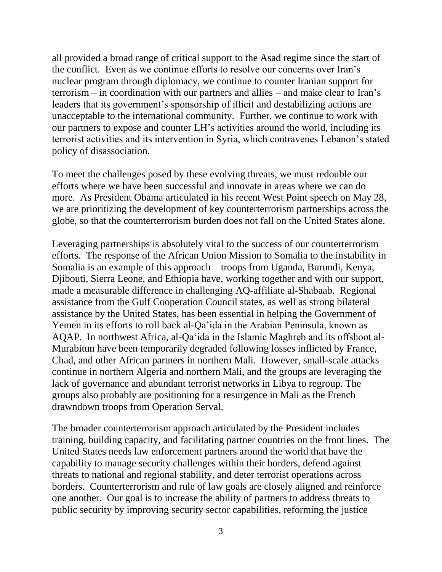all provided a broad range of critical support to the Asad regime since the start of the conflict. Even as we continue efforts to resolve our concerns over Iran's nuclear program through diplomacy, we continue to counter Iranian support for terrorism – in coordination with our partners and allies – and make clear to Iran's leaders that its government's sponsorship of illicit and destabilizing actions are unacceptable to the international community. Further, we continue to work with our partners to expose and counter LH's activities around the world, including its terrorist activities and its intervention in Syria, which contravenes Lebanon's stated policy of disassociation.

To meet the challenges posed by these evolving threats, we must redouble our efforts where we have been successful and innovate in areas where we can do more. As President Obama articulated in his recent West Point speech on May 28, we are prioritizing the development of key counterterrorism partnerships across the globe, so that the counterterrorism burden does not fall on the United States alone.

Leveraging partnerships is absolutely vital to the success of our counterterrorism efforts. The response of the African Union Mission to Somalia to the instability in Somalia is an example of this approach – troops from Uganda, Burundi, Kenya, Djibouti, Sierra Leone, and Ethiopia have, working together and with our support, made a measurable difference in challenging AQ-affiliate al-Shabaab. Regional assistance from the Gulf Cooperation Council states, as well as strong bilateral assistance by the United States, has been essential in helping the Government of Yemen in its efforts to roll back al-Qa'ida in the Arabian Peninsula, known as AQAP. In northwest Africa, al-Qa'ida in the Islamic Maghreb and its offshoot al-Murabitun have been temporarily degraded following losses inflicted by France, Chad, and other African partners in northern Mali. However, small-scale attacks continue in northern Algeria and northern Mali, and the groups are leveraging the lack of governance and abundant terrorist networks in Libya to regroup. The groups also probably are positioning for a resurgence in Mali as the French drawndown troops from Operation Serval.

The broader counterterrorism approach articulated by the President includes training, building capacity, and facilitating partner countries on the front lines. The United States needs law enforcement partners around the world that have the capability to manage security challenges within their borders, defend against threats to national and regional stability, and deter terrorist operations across borders. Counterterrorism and rule of law goals are closely aligned and reinforce one another. Our goal is to increase the ability of partners to address threats to public security by improving security sector capabilities, reforming the justice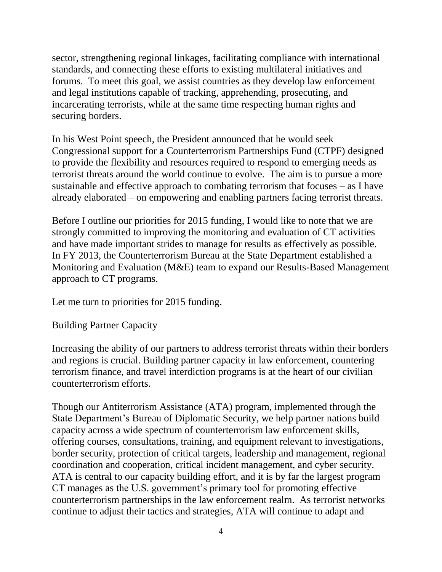sector, strengthening regional linkages, facilitating compliance with international standards, and connecting these efforts to existing multilateral initiatives and forums. To meet this goal, we assist countries as they develop law enforcement and legal institutions capable of tracking, apprehending, prosecuting, and incarcerating terrorists, while at the same time respecting human rights and securing borders.

In his West Point speech, the President announced that he would seek Congressional support for a Counterterrorism Partnerships Fund (CTPF) designed to provide the flexibility and resources required to respond to emerging needs as terrorist threats around the world continue to evolve. The aim is to pursue a more sustainable and effective approach to combating terrorism that focuses – as I have already elaborated – on empowering and enabling partners facing terrorist threats.

Before I outline our priorities for 2015 funding, I would like to note that we are strongly committed to improving the monitoring and evaluation of CT activities and have made important strides to manage for results as effectively as possible. In FY 2013, the Counterterrorism Bureau at the State Department established a Monitoring and Evaluation (M&E) team to expand our Results-Based Management approach to CT programs.

Let me turn to priorities for 2015 funding.

#### Building Partner Capacity

Increasing the ability of our partners to address terrorist threats within their borders and regions is crucial. Building partner capacity in law enforcement, countering terrorism finance, and travel interdiction programs is at the heart of our civilian counterterrorism efforts.

Though our Antiterrorism Assistance (ATA) program, implemented through the State Department's Bureau of Diplomatic Security, we help partner nations build capacity across a wide spectrum of counterterrorism law enforcement skills, offering courses, consultations, training, and equipment relevant to investigations, border security, protection of critical targets, leadership and management, regional coordination and cooperation, critical incident management, and cyber security. ATA is central to our capacity building effort, and it is by far the largest program CT manages as the U.S. government's primary tool for promoting effective counterterrorism partnerships in the law enforcement realm. As terrorist networks continue to adjust their tactics and strategies, ATA will continue to adapt and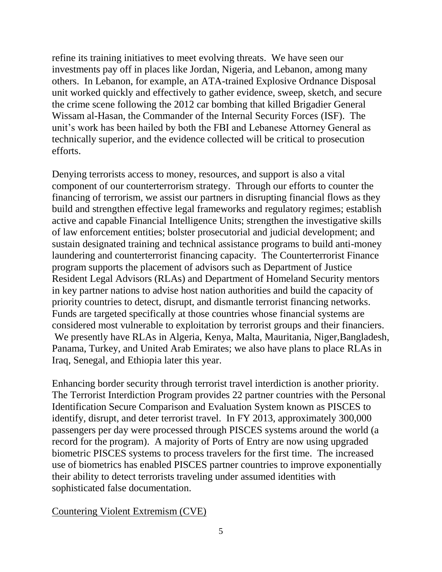refine its training initiatives to meet evolving threats. We have seen our investments pay off in places like Jordan, Nigeria, and Lebanon, among many others. In Lebanon, for example, an ATA-trained Explosive Ordnance Disposal unit worked quickly and effectively to gather evidence, sweep, sketch, and secure the crime scene following the 2012 car bombing that killed Brigadier General Wissam al-Hasan, the Commander of the Internal Security Forces (ISF). The unit's work has been hailed by both the FBI and Lebanese Attorney General as technically superior, and the evidence collected will be critical to prosecution efforts.

Denying terrorists access to money, resources, and support is also a vital component of our counterterrorism strategy. Through our efforts to counter the financing of terrorism, we assist our partners in disrupting financial flows as they build and strengthen effective legal frameworks and regulatory regimes; establish active and capable Financial Intelligence Units; strengthen the investigative skills of law enforcement entities; bolster prosecutorial and judicial development; and sustain designated training and technical assistance programs to build anti-money laundering and counterterrorist financing capacity. The Counterterrorist Finance program supports the placement of advisors such as Department of Justice Resident Legal Advisors (RLAs) and Department of Homeland Security mentors in key partner nations to advise host nation authorities and build the capacity of priority countries to detect, disrupt, and dismantle terrorist financing networks. Funds are targeted specifically at those countries whose financial systems are considered most vulnerable to exploitation by terrorist groups and their financiers. We presently have RLAs in Algeria, Kenya, Malta, Mauritania, Niger, Bangladesh, Panama, Turkey, and United Arab Emirates; we also have plans to place RLAs in Iraq, Senegal, and Ethiopia later this year.

Enhancing border security through terrorist travel interdiction is another priority. The Terrorist Interdiction Program provides 22 partner countries with the Personal Identification Secure Comparison and Evaluation System known as PISCES to identify, disrupt, and deter terrorist travel. In FY 2013, approximately 300,000 passengers per day were processed through PISCES systems around the world (a record for the program). A majority of Ports of Entry are now using upgraded biometric PISCES systems to process travelers for the first time. The increased use of biometrics has enabled PISCES partner countries to improve exponentially their ability to detect terrorists traveling under assumed identities with sophisticated false documentation.

#### Countering Violent Extremism (CVE)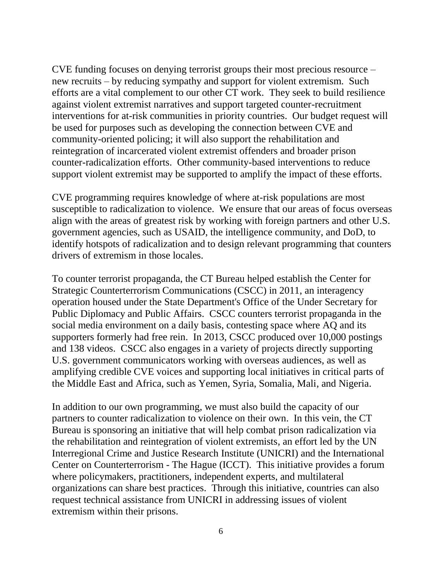CVE funding focuses on denying terrorist groups their most precious resource – new recruits – by reducing sympathy and support for violent extremism. Such efforts are a vital complement to our other CT work. They seek to build resilience against violent extremist narratives and support targeted counter-recruitment interventions for at-risk communities in priority countries. Our budget request will be used for purposes such as developing the connection between CVE and community-oriented policing; it will also support the rehabilitation and reintegration of incarcerated violent extremist offenders and broader prison counter-radicalization efforts. Other community-based interventions to reduce support violent extremist may be supported to amplify the impact of these efforts.

CVE programming requires knowledge of where at-risk populations are most susceptible to radicalization to violence. We ensure that our areas of focus overseas align with the areas of greatest risk by working with foreign partners and other U.S. government agencies, such as USAID, the intelligence community, and DoD, to identify hotspots of radicalization and to design relevant programming that counters drivers of extremism in those locales.

To counter terrorist propaganda, the CT Bureau helped establish the Center for Strategic Counterterrorism Communications (CSCC) in 2011, an interagency operation housed under the State Department's Office of the Under Secretary for Public Diplomacy and Public Affairs. CSCC counters terrorist propaganda in the social media environment on a daily basis, contesting space where AQ and its supporters formerly had free rein. In 2013, CSCC produced over 10,000 postings and 138 videos. CSCC also engages in a variety of projects directly supporting U.S. government communicators working with overseas audiences, as well as amplifying credible CVE voices and supporting local initiatives in critical parts of the Middle East and Africa, such as Yemen, Syria, Somalia, Mali, and Nigeria.

In addition to our own programming, we must also build the capacity of our partners to counter radicalization to violence on their own. In this vein, the CT Bureau is sponsoring an initiative that will help combat prison radicalization via the rehabilitation and reintegration of violent extremists, an effort led by the UN Interregional Crime and Justice Research Institute (UNICRI) and the International Center on Counterterrorism - The Hague (ICCT). This initiative provides a forum where policymakers, practitioners, independent experts, and multilateral organizations can share best practices. Through this initiative, countries can also request technical assistance from UNICRI in addressing issues of violent extremism within their prisons.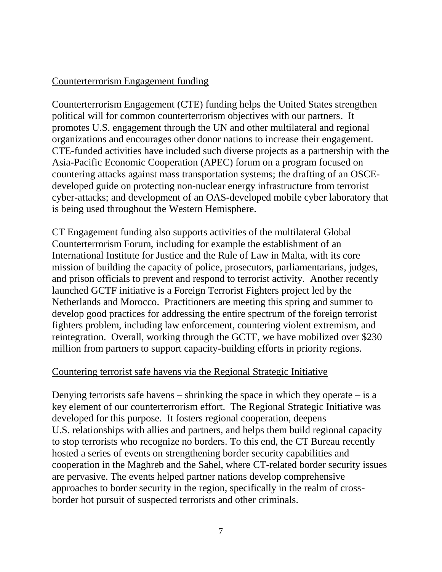# Counterterrorism Engagement funding

Counterterrorism Engagement (CTE) funding helps the United States strengthen political will for common counterterrorism objectives with our partners. It promotes U.S. engagement through the UN and other multilateral and regional organizations and encourages other donor nations to increase their engagement. CTE-funded activities have included such diverse projects as a partnership with the Asia-Pacific Economic Cooperation (APEC) forum on a program focused on countering attacks against mass transportation systems; the drafting of an OSCEdeveloped guide on protecting non-nuclear energy infrastructure from terrorist cyber-attacks; and development of an OAS-developed mobile cyber laboratory that is being used throughout the Western Hemisphere.

CT Engagement funding also supports activities of the multilateral Global Counterterrorism Forum, including for example the establishment of an International Institute for Justice and the Rule of Law in Malta, with its core mission of building the capacity of police, prosecutors, parliamentarians, judges, and prison officials to prevent and respond to terrorist activity. Another recently launched GCTF initiative is a Foreign Terrorist Fighters project led by the Netherlands and Morocco. Practitioners are meeting this spring and summer to develop good practices for addressing the entire spectrum of the foreign terrorist fighters problem, including law enforcement, countering violent extremism, and reintegration. Overall, working through the GCTF, we have mobilized over \$230 million from partners to support capacity-building efforts in priority regions.

#### Countering terrorist safe havens via the Regional Strategic Initiative

Denying terrorists safe havens – shrinking the space in which they operate – is a key element of our counterterrorism effort. The Regional Strategic Initiative was developed for this purpose. It fosters regional cooperation, deepens U.S. relationships with allies and partners, and helps them build regional capacity to stop terrorists who recognize no borders. To this end, the CT Bureau recently hosted a series of events on strengthening border security capabilities and cooperation in the Maghreb and the Sahel, where CT-related border security issues are pervasive. The events helped partner nations develop comprehensive approaches to border security in the region, specifically in the realm of crossborder hot pursuit of suspected terrorists and other criminals.